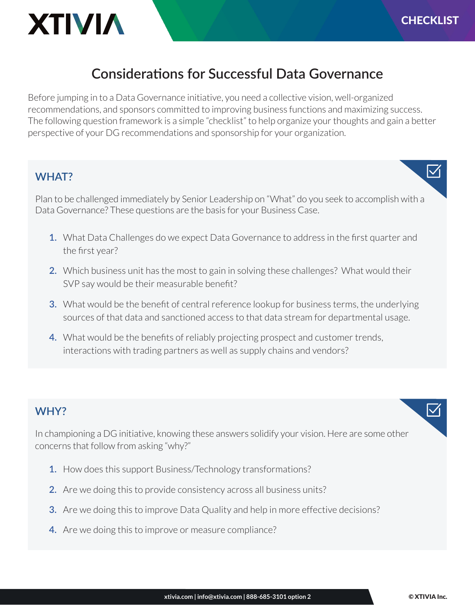

## **Considerations for Successful Data Governance**

Before jumping in to a Data Governance initiative, you need a collective vision, well-organized recommendations, and sponsors committed to improving business functions and maximizing success. The following question framework is a simple "checklist" to help organize your thoughts and gain a better perspective of your DG recommendations and sponsorship for your organization.

### **WHAT?**

Plan to be challenged immediately by Senior Leadership on "What" do you seek to accomplish with a Data Governance? These questions are the basis for your Business Case.

- **1.** What Data Challenges do we expect Data Governance to address in the first quarter and the first year?
- **2.** Which business unit has the most to gain in solving these challenges? What would their SVP say would be their measurable benefit?
- **3.** What would be the benefit of central reference lookup for business terms, the underlying sources of that data and sanctioned access to that data stream for departmental usage.
- **4.** What would be the benefits of reliably projecting prospect and customer trends, interactions with trading partners as well as supply chains and vendors?

### **WHY?**

In championing a DG initiative, knowing these answers solidify your vision. Here are some other concerns that follow from asking "why?"

- **1.** How does this support Business/Technology transformations?
- **2.** Are we doing this to provide consistency across all business units?
- **3.** Are we doing this to improve Data Quality and help in more effective decisions?
- **4.** Are we doing this to improve or measure compliance?